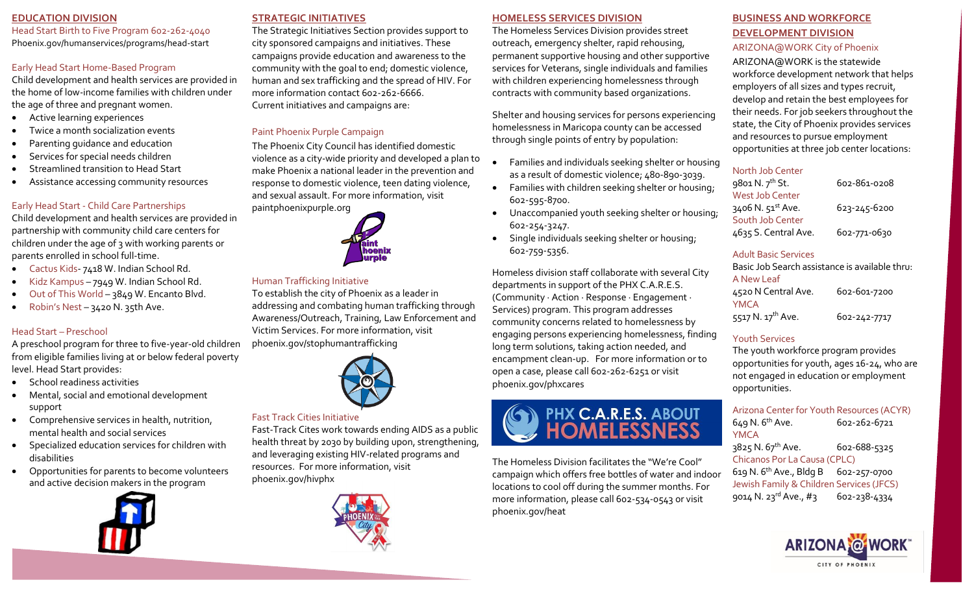## **EDUCATION DIVISION**

Head Start Birth to Five Program 602-262-4040 Phoenix.gov/humanservices/programs/head-start

## Early Head Start Home-Based Program

Child development and health services are provided in the home of low-income families with children under the age of three and pregnant women.

- Active learning experiences
- Twice a month socialization events
- Parenting guidance and education
- Services for special needs children
- Streamlined transition to Head Start
- Assistance accessing community resources

## Early Head Start - Child Care Partnerships

Child development and health services are provided in partnership with community child care centers for children under the age of 3 with working parents or parents enrolled in school full-time.

- Cactus Kids- 7418 W. Indian School Rd.
- Kidz Kampus 7949 W. Indian School Rd.
- Out of This World 3849 W. Encanto Blvd.
- Robin's Nest 3420 N. 35th Ave.

## Head Start – Preschool

A preschool program for three to five-year-old children from eligible families living at or below federal poverty level. Head Start provides:

- School readiness activities
- Mental, social and emotional development support
- Comprehensive services in health, nutrition, mental health and social services
- Specialized education services for children with disabilities
- Opportunities for parents to become volunteers and active decision makers in the program



## **STRATEGIC INITIATIVES**

The Strategic Initiatives Section provides support to city sponsored campaigns and initiatives. These campaigns provide education and awareness to the community with the goal to end; domestic violence, human and sex trafficking and the spread of HIV. For more information contact 602-262-6666. Current initiatives and campaigns are:

# Paint Phoenix Purple Campaign

The Phoenix City Council has identified domestic violence as a city-wide priority and developed a plan to make Phoenix a national leader in the prevention and response to domestic violence, teen dating violence, and sexual assault. For more information, visit paintphoenixpurple.org



## Human Trafficking Initiative

To establish the city of Phoenix as a leader in addressing and combating human trafficking through Awareness/Outreach, Training, Law Enforcement and Victim Services. For more information, visit phoenix.gov/stophumantrafficking



## Fast Track Cities Initiative

Fast-Track Cites work towards ending AIDS as a public health threat by 2030 by building upon, strengthening, and leveraging existing HIV-related programs and resources. For more information, visit [phoenix.gov/hivphx](http://www.phoenix.gov/hivphx)



### **HOMELESS SERVICES DIVISION**

The Homeless Services Division provides street outreach, emergency shelter, rapid rehousing, permanent supportive housing and other supportive services for Veterans, single individuals and families with children experiencing homelessness through contracts with community based organizations.

Shelter and housing services for persons experiencing homelessness in Maricopa county can be accessed through single points of entry by population:

- Families and individuals seeking shelter or housing as a result of domestic violence; 480-890-3039.
- Families with children seeking shelter or housing; 602-595-8700.
- Unaccompanied youth seeking shelter or housing; 602-254-3247.
- Single individuals seeking shelter or housing; 602-759-5356.

Homeless division staff collaborate with several City departments in support of the PHX C.A.R.E.S. (Community · Action · Response · Engagement · Services) program. This program addresses community concerns related to homelessness by engaging persons experiencing homelessness, finding long term solutions, taking action needed, and encampment clean-up. For more information or to open a case, please call 602-262-6251 or visit phoenix.gov/phxcares



The Homeless Division facilitates the "We're Cool" campaign which offers free bottles of water and indoor locations to cool off during the summer months. For more information, please call 602-534-0543 or visit phoenix.gov/heat

# **BUSINESS AND WORKFORCE DEVELOPMENT DIVISION**

## ARIZONA@WORK City of Phoenix

ARIZONA@WORK is the statewide workforce development network that helps employers of all sizes and types recruit, develop and retain the best employees for their needs. For job seekers throughout the state, the City of Phoenix provides services and resources to pursue employment opportunities at three job center locations:

## North Job Center

| 9801 N. 7 <sup>th</sup> St. | 602-861-0208 |
|-----------------------------|--------------|
| <b>West Job Center</b>      |              |
| 3406 N. 51st Ave.           | 623-245-6200 |
| South Job Center            |              |
| 4635 S. Central Ave.        | 602-771-0630 |
|                             |              |

## Adult Basic Services

Basic Job Search assistance is available thru: A New Leaf 4520 N Central Ave. 602-601-7200 YMCA 5517 N. 17<sup>th</sup> Ave. 602-242-7717

# Youth Services

The youth workforce program provides opportunities for youth, ages 16-24, who are not engaged in education or employment opportunities.

# Arizona Center for Youth Resources (ACYR) 649 N. 6th Ave. 602-262-6721 YMCA

 $3825$  N.  $67^{th}$  Ave. 602-688-5325 Chicanos Por La Causa (CPLC) 619 N. 6th Ave., Bldg B 602-257-0700 Jewish Family & Children Services (JFCS) 9014 N. 23<sup>rd</sup> Ave.,  $\#$ 3 602-238-4334